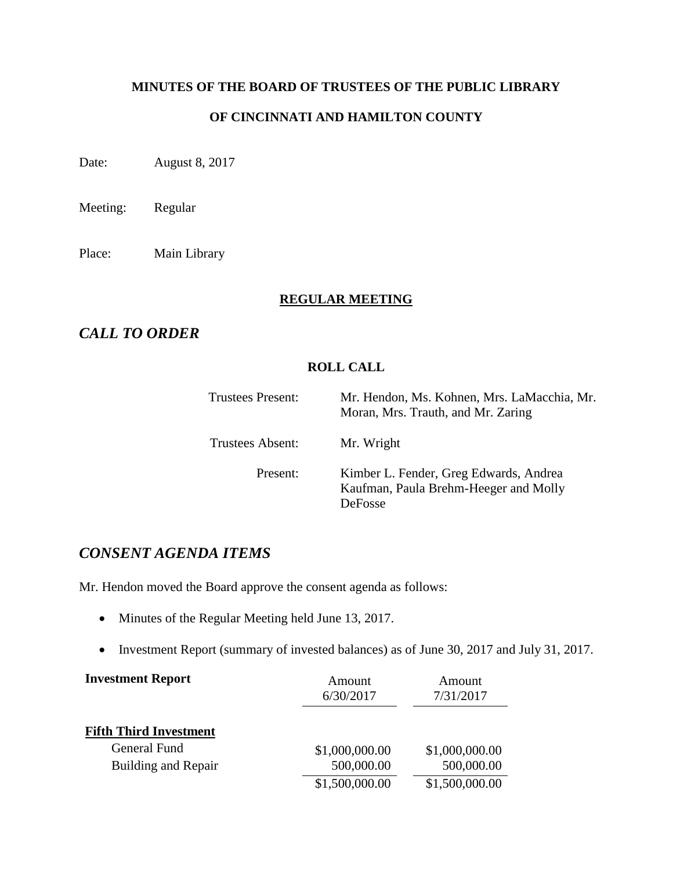### **MINUTES OF THE BOARD OF TRUSTEES OF THE PUBLIC LIBRARY**

### **OF CINCINNATI AND HAMILTON COUNTY**

Date: August 8, 2017

Meeting: Regular

Place: Main Library

### **REGULAR MEETING**

## *CALL TO ORDER*

#### **ROLL CALL**

| Trustees Present: | Mr. Hendon, Ms. Kohnen, Mrs. LaMacchia, Mr.<br>Moran, Mrs. Trauth, and Mr. Zaring                 |
|-------------------|---------------------------------------------------------------------------------------------------|
| Trustees Absent:  | Mr. Wright                                                                                        |
| Present:          | Kimber L. Fender, Greg Edwards, Andrea<br>Kaufman, Paula Brehm-Heeger and Molly<br><b>DeFosse</b> |

## *CONSENT AGENDA ITEMS*

Mr. Hendon moved the Board approve the consent agenda as follows:

- Minutes of the Regular Meeting held June 13, 2017.
- Investment Report (summary of invested balances) as of June 30, 2017 and July 31, 2017.

| <b>Investment Report</b>                      | Amount<br>6/30/2017 | Amount<br>7/31/2017 |
|-----------------------------------------------|---------------------|---------------------|
| <b>Fifth Third Investment</b><br>General Fund | \$1,000,000.00      | \$1,000,000.00      |
| Building and Repair                           | 500,000.00          | 500,000.00          |
|                                               | \$1,500,000.00      | \$1,500,000.00      |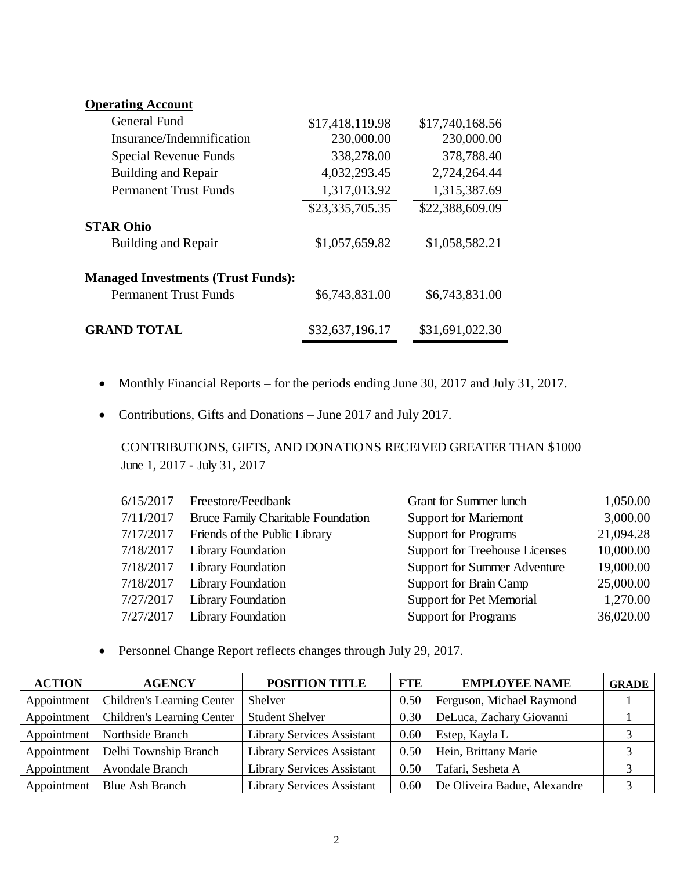### **Operating Account**

| General Fund                              | \$17,418,119.98 | \$17,740,168.56 |
|-------------------------------------------|-----------------|-----------------|
| Insurance/Indemnification                 | 230,000.00      | 230,000.00      |
| <b>Special Revenue Funds</b>              | 338,278.00      | 378,788.40      |
| Building and Repair                       | 4,032,293.45    | 2,724,264.44    |
| <b>Permanent Trust Funds</b>              | 1,317,013.92    | 1,315,387.69    |
|                                           | \$23,335,705.35 | \$22,388,609.09 |
| <b>STAR Ohio</b>                          |                 |                 |
| Building and Repair                       | \$1,057,659.82  | \$1,058,582.21  |
| <b>Managed Investments (Trust Funds):</b> |                 |                 |
| <b>Permanent Trust Funds</b>              | \$6,743,831.00  | \$6,743,831.00  |
|                                           |                 |                 |
| <b>GRAND TOTAL</b>                        | \$32,637,196.17 | \$31,691,022.30 |

- Monthly Financial Reports for the periods ending June 30, 2017 and July 31, 2017.
- Contributions, Gifts and Donations June 2017 and July 2017.

CONTRIBUTIONS, GIFTS, AND DONATIONS RECEIVED GREATER THAN \$1000 June 1, 2017 - July 31, 2017

| 6/15/2017 | Freestore/Feedbank                        | Grant for Summer lunch                | 1,050.00  |
|-----------|-------------------------------------------|---------------------------------------|-----------|
| 7/11/2017 | <b>Bruce Family Charitable Foundation</b> | <b>Support for Mariemont</b>          | 3,000.00  |
| 7/17/2017 | Friends of the Public Library             | <b>Support for Programs</b>           | 21,094.28 |
| 7/18/2017 | <b>Library Foundation</b>                 | <b>Support for Treehouse Licenses</b> | 10,000.00 |
| 7/18/2017 | <b>Library Foundation</b>                 | Support for Summer Adventure          | 19,000.00 |
| 7/18/2017 | <b>Library Foundation</b>                 | Support for Brain Camp                | 25,000.00 |
| 7/27/2017 | <b>Library Foundation</b>                 | <b>Support for Pet Memorial</b>       | 1,270.00  |
| 7/27/2017 | <b>Library Foundation</b>                 | <b>Support for Programs</b>           | 36,020.00 |

• Personnel Change Report reflects changes through July 29, 2017.

| <b>ACTION</b> | <b>AGENCY</b>                     | <b>POSITION TITLE</b>             | <b>FTE</b> | <b>EMPLOYEE NAME</b>         | <b>GRADE</b> |
|---------------|-----------------------------------|-----------------------------------|------------|------------------------------|--------------|
| Appointment   | <b>Children's Learning Center</b> | Shelver                           | 0.50       | Ferguson, Michael Raymond    |              |
| Appointment   | <b>Children's Learning Center</b> | <b>Student Shelver</b>            | 0.30       | DeLuca, Zachary Giovanni     |              |
| Appointment   | Northside Branch                  | <b>Library Services Assistant</b> | 0.60       | Estep, Kayla L               |              |
| Appointment   | Delhi Township Branch             | <b>Library Services Assistant</b> | 0.50       | Hein, Brittany Marie         |              |
| Appointment   | Avondale Branch                   | <b>Library Services Assistant</b> | 0.50       | Tafari, Sesheta A            |              |
| Appointment   | <b>Blue Ash Branch</b>            | <b>Library Services Assistant</b> | 0.60       | De Oliveira Badue, Alexandre |              |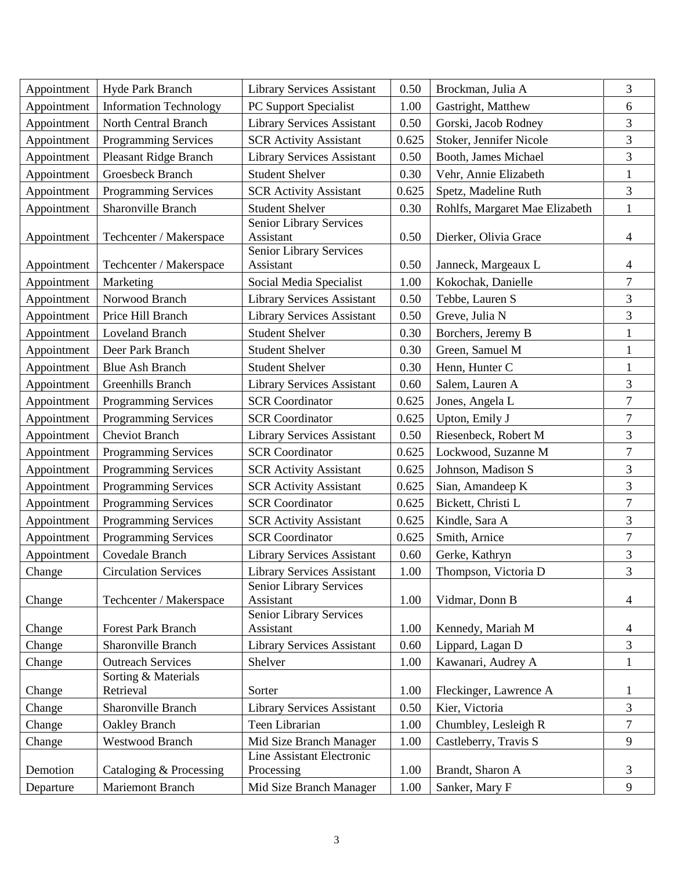| Appointment | Hyde Park Branch                 | <b>Library Services Assistant</b>    | 0.50  | Brockman, Julia A              | 3              |
|-------------|----------------------------------|--------------------------------------|-------|--------------------------------|----------------|
| Appointment | <b>Information Technology</b>    | PC Support Specialist                | 1.00  | Gastright, Matthew             | 6              |
| Appointment | North Central Branch             | <b>Library Services Assistant</b>    | 0.50  | Gorski, Jacob Rodney           | 3              |
| Appointment | <b>Programming Services</b>      | <b>SCR Activity Assistant</b>        | 0.625 | Stoker, Jennifer Nicole        | 3              |
| Appointment | <b>Pleasant Ridge Branch</b>     | <b>Library Services Assistant</b>    | 0.50  | Booth, James Michael           | 3              |
| Appointment | <b>Groesbeck Branch</b>          | <b>Student Shelver</b>               | 0.30  | Vehr, Annie Elizabeth          | $\mathbf{1}$   |
| Appointment | <b>Programming Services</b>      | <b>SCR Activity Assistant</b>        | 0.625 | Spetz, Madeline Ruth           | 3              |
| Appointment | Sharonville Branch               | <b>Student Shelver</b>               | 0.30  | Rohlfs, Margaret Mae Elizabeth | $\mathbf{1}$   |
|             |                                  | Senior Library Services              |       |                                |                |
| Appointment | Techcenter / Makerspace          | Assistant<br>Senior Library Services | 0.50  | Dierker, Olivia Grace          | 4              |
| Appointment | Techcenter / Makerspace          | Assistant                            | 0.50  | Janneck, Margeaux L            | 4              |
| Appointment | Marketing                        | Social Media Specialist              | 1.00  | Kokochak, Danielle             | 7              |
| Appointment | Norwood Branch                   | <b>Library Services Assistant</b>    | 0.50  | Tebbe, Lauren S                | 3              |
| Appointment | Price Hill Branch                | <b>Library Services Assistant</b>    | 0.50  | Greve, Julia N                 | $\overline{3}$ |
| Appointment | Loveland Branch                  | <b>Student Shelver</b>               | 0.30  | Borchers, Jeremy B             | $\mathbf{1}$   |
| Appointment | Deer Park Branch                 | <b>Student Shelver</b>               | 0.30  | Green, Samuel M                | 1              |
| Appointment | <b>Blue Ash Branch</b>           | <b>Student Shelver</b>               | 0.30  | Henn, Hunter C                 | $\mathbf{1}$   |
| Appointment | Greenhills Branch                | <b>Library Services Assistant</b>    | 0.60  | Salem, Lauren A                | 3              |
| Appointment | Programming Services             | <b>SCR Coordinator</b>               | 0.625 | Jones, Angela L                | $\overline{7}$ |
| Appointment | <b>Programming Services</b>      | <b>SCR Coordinator</b>               | 0.625 | Upton, Emily J                 | $\tau$         |
| Appointment | <b>Cheviot Branch</b>            | <b>Library Services Assistant</b>    | 0.50  | Riesenbeck, Robert M           | 3              |
| Appointment | <b>Programming Services</b>      | <b>SCR Coordinator</b>               | 0.625 | Lockwood, Suzanne M            | $\overline{7}$ |
| Appointment | <b>Programming Services</b>      | <b>SCR Activity Assistant</b>        | 0.625 | Johnson, Madison S             | 3              |
| Appointment | <b>Programming Services</b>      | <b>SCR Activity Assistant</b>        | 0.625 | Sian, Amandeep K               | 3              |
| Appointment | <b>Programming Services</b>      | <b>SCR Coordinator</b>               | 0.625 | Bickett, Christi L             | $\overline{7}$ |
| Appointment | <b>Programming Services</b>      | <b>SCR Activity Assistant</b>        | 0.625 | Kindle, Sara A                 | 3              |
| Appointment | <b>Programming Services</b>      | <b>SCR Coordinator</b>               | 0.625 | Smith, Arnice                  | 7              |
| Appointment | Covedale Branch                  | <b>Library Services Assistant</b>    | 0.60  | Gerke, Kathryn                 | 3              |
| Change      | <b>Circulation Services</b>      | Library Services Assistant           | 1.00  | Thompson, Victoria D           | 3              |
|             |                                  | Senior Library Services              |       |                                |                |
| Change      | Techcenter / Makerspace          | Assistant                            | 1.00  | Vidmar, Donn B                 | 4              |
|             |                                  | Senior Library Services              |       |                                |                |
| Change      | Forest Park Branch               | Assistant                            | 1.00  | Kennedy, Mariah M              | 4              |
| Change      | Sharonville Branch               | <b>Library Services Assistant</b>    | 0.60  | Lippard, Lagan D               | $\overline{3}$ |
| Change      | <b>Outreach Services</b>         | Shelver                              | 1.00  | Kawanari, Audrey A             | $\mathbf{1}$   |
| Change      | Sorting & Materials<br>Retrieval | Sorter                               | 1.00  | Fleckinger, Lawrence A         | $\mathbf{1}$   |
| Change      | Sharonville Branch               | <b>Library Services Assistant</b>    | 0.50  | Kier, Victoria                 | $\overline{3}$ |
| Change      | <b>Oakley Branch</b>             | Teen Librarian                       | 1.00  | Chumbley, Lesleigh R           | $\overline{7}$ |
| Change      | <b>Westwood Branch</b>           | Mid Size Branch Manager              | 1.00  | Castleberry, Travis S          | 9              |
|             |                                  | Line Assistant Electronic            |       |                                |                |
| Demotion    | Cataloging & Processing          | Processing                           | 1.00  | Brandt, Sharon A               | 3              |
| Departure   | Mariemont Branch                 | Mid Size Branch Manager              | 1.00  | Sanker, Mary F                 | 9              |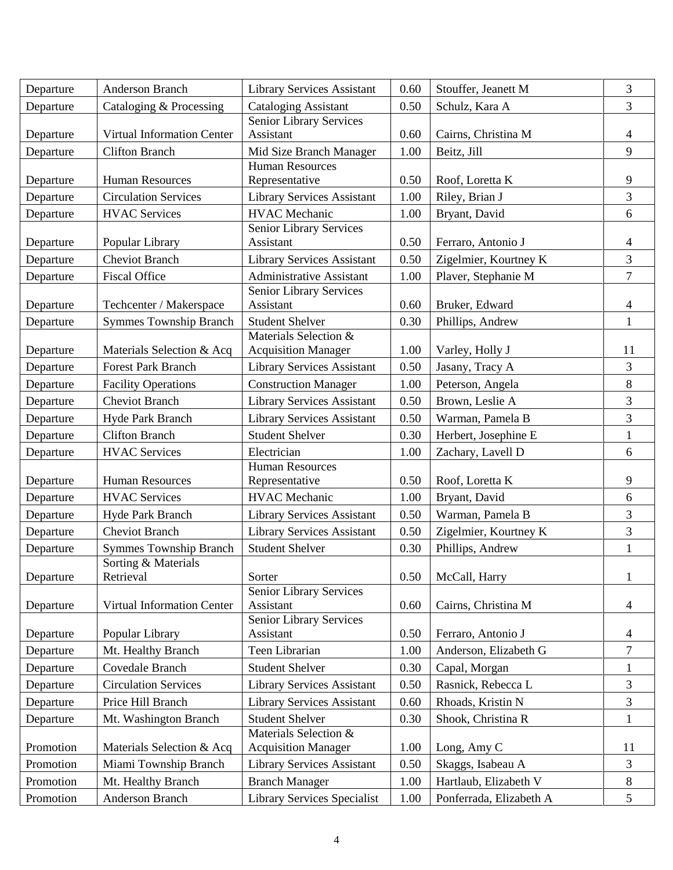| Departure | Anderson Branch                       | <b>Library Services Assistant</b>                           | 0.60 | Stouffer, Jeanett M                              | $\overline{3}$           |
|-----------|---------------------------------------|-------------------------------------------------------------|------|--------------------------------------------------|--------------------------|
| Departure | Cataloging & Processing               | <b>Cataloging Assistant</b>                                 | 0.50 | Schulz, Kara A                                   | 3                        |
|           |                                       | Senior Library Services                                     |      |                                                  |                          |
| Departure | <b>Virtual Information Center</b>     | Assistant                                                   | 0.60 | Cairns, Christina M                              | 4                        |
| Departure | <b>Clifton Branch</b>                 | Mid Size Branch Manager<br><b>Human Resources</b>           | 1.00 | Beitz, Jill                                      | 9                        |
| Departure | <b>Human Resources</b>                | Representative                                              | 0.50 | Roof, Loretta K                                  | 9                        |
| Departure | <b>Circulation Services</b>           | <b>Library Services Assistant</b>                           | 1.00 | Riley, Brian J                                   | 3                        |
| Departure | <b>HVAC Services</b>                  | <b>HVAC</b> Mechanic                                        | 1.00 | Bryant, David                                    | 6                        |
| Departure | Popular Library                       | Senior Library Services<br>Assistant                        | 0.50 | Ferraro, Antonio J                               | $\overline{\mathcal{A}}$ |
| Departure | <b>Cheviot Branch</b>                 | <b>Library Services Assistant</b>                           | 0.50 | Zigelmier, Kourtney K                            | 3                        |
| Departure | <b>Fiscal Office</b>                  | <b>Administrative Assistant</b>                             | 1.00 | Plaver, Stephanie M                              | $\overline{7}$           |
|           |                                       | Senior Library Services<br>Assistant                        |      |                                                  |                          |
| Departure | Techcenter / Makerspace               |                                                             | 0.60 | Bruker, Edward                                   | 4<br>$\mathbf{1}$        |
| Departure | <b>Symmes Township Branch</b>         | <b>Student Shelver</b><br>Materials Selection &             | 0.30 | Phillips, Andrew                                 |                          |
| Departure | Materials Selection & Acq             | <b>Acquisition Manager</b>                                  | 1.00 | Varley, Holly J                                  | 11                       |
| Departure | <b>Forest Park Branch</b>             | <b>Library Services Assistant</b>                           | 0.50 | Jasany, Tracy A                                  | 3                        |
| Departure | <b>Facility Operations</b>            | <b>Construction Manager</b>                                 | 1.00 | Peterson, Angela                                 | $\,8\,$                  |
| Departure | <b>Cheviot Branch</b>                 | <b>Library Services Assistant</b>                           | 0.50 | Brown, Leslie A                                  | 3                        |
| Departure | Hyde Park Branch                      | <b>Library Services Assistant</b>                           | 0.50 | Warman, Pamela B                                 | 3                        |
| Departure | <b>Clifton Branch</b>                 | <b>Student Shelver</b>                                      | 0.30 | Herbert, Josephine E                             | $\mathbf{1}$             |
| Departure | <b>HVAC Services</b>                  | Electrician                                                 | 1.00 | Zachary, Lavell D                                | 6                        |
| Departure | <b>Human Resources</b>                | <b>Human Resources</b><br>Representative                    | 0.50 | Roof, Loretta K                                  | 9                        |
| Departure | <b>HVAC Services</b>                  | <b>HVAC</b> Mechanic                                        | 1.00 | Bryant, David                                    | 6                        |
| Departure | Hyde Park Branch                      | <b>Library Services Assistant</b>                           | 0.50 | Warman, Pamela B                                 | $\overline{3}$           |
| Departure | <b>Cheviot Branch</b>                 | <b>Library Services Assistant</b>                           | 0.50 | Zigelmier, Kourtney K                            | 3                        |
| Departure | <b>Symmes Township Branch</b>         | <b>Student Shelver</b>                                      | 0.30 | Phillips, Andrew                                 | $\mathbf{1}$             |
|           | Sorting & Materials                   |                                                             |      |                                                  |                          |
| Departure | Retrieval                             | Sorter                                                      | 0.50 | McCall, Harry                                    | $\mathbf{1}$             |
| Departure | Virtual Information Center            | Senior Library Services<br>Assistant                        | 0.60 | Cairns, Christina M                              | 4                        |
| Departure | Popular Library                       | Senior Library Services<br>Assistant                        | 0.50 | Ferraro, Antonio J                               | 4                        |
| Departure | Mt. Healthy Branch                    | Teen Librarian                                              | 1.00 | Anderson, Elizabeth G                            | $\boldsymbol{7}$         |
| Departure | Covedale Branch                       | <b>Student Shelver</b>                                      | 0.30 | Capal, Morgan                                    | $\mathbf{1}$             |
| Departure | <b>Circulation Services</b>           | <b>Library Services Assistant</b>                           | 0.50 | Rasnick, Rebecca L                               | 3                        |
| Departure | Price Hill Branch                     | <b>Library Services Assistant</b>                           | 0.60 | Rhoads, Kristin N                                | 3                        |
| Departure |                                       | <b>Student Shelver</b>                                      | 0.30 | Shook, Christina R                               | 1                        |
|           |                                       |                                                             |      |                                                  |                          |
|           | Mt. Washington Branch                 | Materials Selection &                                       |      |                                                  |                          |
| Promotion | Materials Selection & Acq             | <b>Acquisition Manager</b>                                  | 1.00 | Long, Amy C                                      | 11                       |
| Promotion | Miami Township Branch                 | <b>Library Services Assistant</b>                           | 0.50 | Skaggs, Isabeau A                                | 3                        |
| Promotion | Mt. Healthy Branch<br>Anderson Branch | <b>Branch Manager</b><br><b>Library Services Specialist</b> | 1.00 | Hartlaub, Elizabeth V<br>Ponferrada, Elizabeth A | 8<br>5                   |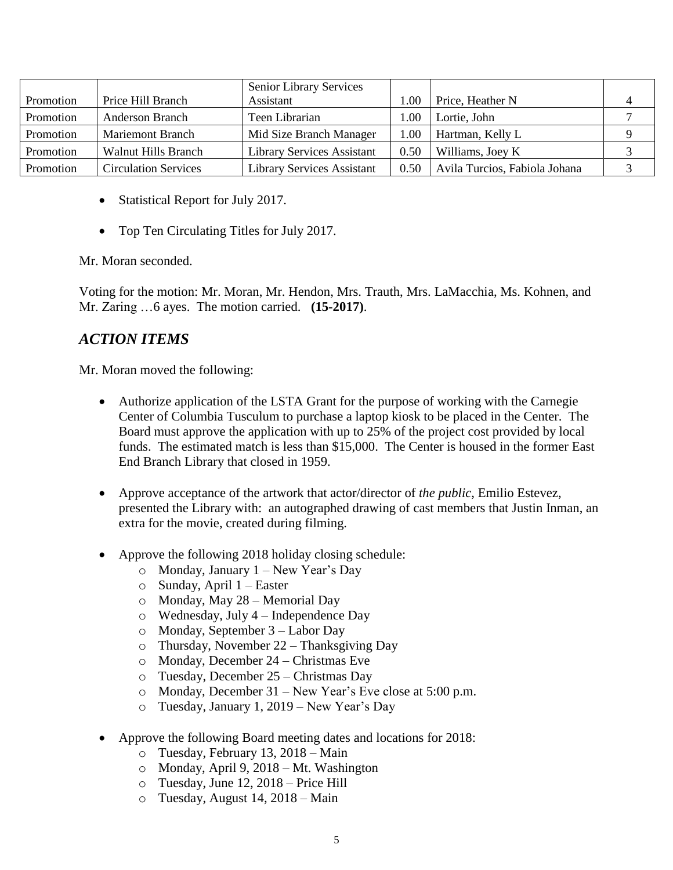|           |                             | <b>Senior Library Services</b>    |      |                               |  |
|-----------|-----------------------------|-----------------------------------|------|-------------------------------|--|
| Promotion | Price Hill Branch           | Assistant                         | 00.1 | Price, Heather N              |  |
| Promotion | <b>Anderson Branch</b>      | Teen Librarian                    | 1.00 | Lortie, John                  |  |
| Promotion | <b>Mariemont Branch</b>     | Mid Size Branch Manager           | 1.00 | Hartman, Kelly L              |  |
| Promotion | <b>Walnut Hills Branch</b>  | <b>Library Services Assistant</b> | 0.50 | Williams, Joey K              |  |
| Promotion | <b>Circulation Services</b> | <b>Library Services Assistant</b> | 0.50 | Avila Turcios, Fabiola Johana |  |

- Statistical Report for July 2017.
- Top Ten Circulating Titles for July 2017.

Mr. Moran seconded.

Voting for the motion: Mr. Moran, Mr. Hendon, Mrs. Trauth, Mrs. LaMacchia, Ms. Kohnen, and Mr. Zaring …6 ayes. The motion carried. **(15-2017)**.

# *ACTION ITEMS*

Mr. Moran moved the following:

- Authorize application of the LSTA Grant for the purpose of working with the Carnegie Center of Columbia Tusculum to purchase a laptop kiosk to be placed in the Center. The Board must approve the application with up to 25% of the project cost provided by local funds. The estimated match is less than \$15,000. The Center is housed in the former East End Branch Library that closed in 1959.
- Approve acceptance of the artwork that actor/director of *the public*, Emilio Estevez, presented the Library with: an autographed drawing of cast members that Justin Inman, an extra for the movie, created during filming.
- Approve the following 2018 holiday closing schedule:
	- o Monday, January 1 New Year's Day
	- $\circ$  Sunday, April 1 Easter
	- o Monday, May 28 Memorial Day
	- o Wednesday, July 4 Independence Day
	- o Monday, September 3 Labor Day
	- o Thursday, November 22 Thanksgiving Day
	- o Monday, December 24 Christmas Eve
	- o Tuesday, December 25 Christmas Day
	- o Monday, December 31 New Year's Eve close at 5:00 p.m.
	- o Tuesday, January 1, 2019 New Year's Day
- Approve the following Board meeting dates and locations for 2018:
	- o Tuesday, February 13, 2018 Main
	- o Monday, April 9, 2018 Mt. Washington
	- o Tuesday, June 12, 2018 Price Hill
	- o Tuesday, August 14, 2018 Main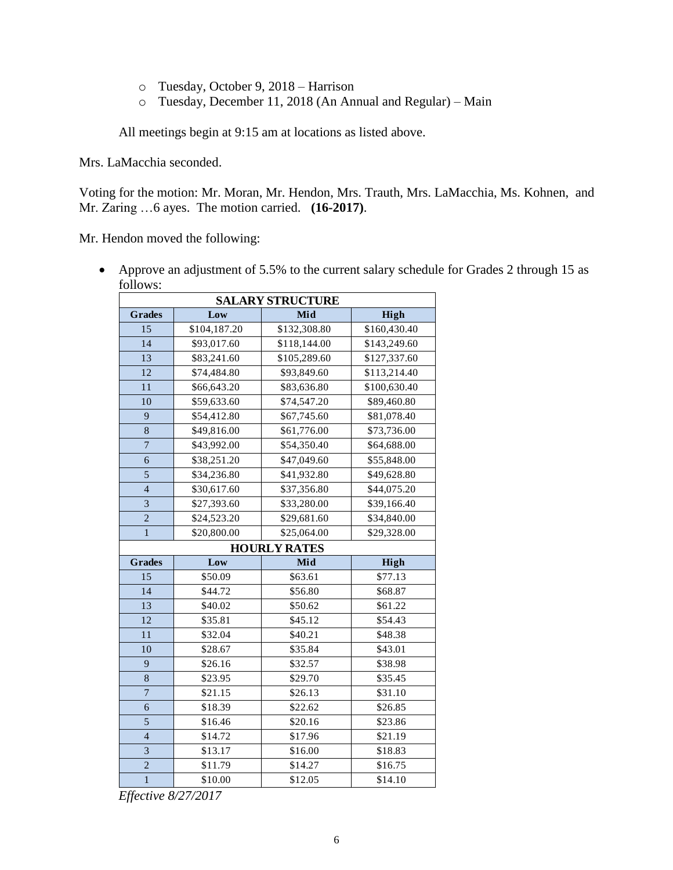- o Tuesday, October 9, 2018 Harrison
- o Tuesday, December 11, 2018 (An Annual and Regular) Main

All meetings begin at 9:15 am at locations as listed above.

Mrs. LaMacchia seconded.

Voting for the motion: Mr. Moran, Mr. Hendon, Mrs. Trauth, Mrs. LaMacchia, Ms. Kohnen, and Mr. Zaring …6 ayes. The motion carried. **(16-2017)**.

Mr. Hendon moved the following:

 Approve an adjustment of 5.5% to the current salary schedule for Grades 2 through 15 as follows:

| <b>SALARY STRUCTURE</b> |              |                     |              |  |
|-------------------------|--------------|---------------------|--------------|--|
| <b>Grades</b>           | Low          | Mid                 | High         |  |
| 15                      | \$104,187.20 | \$132,308.80        | \$160,430.40 |  |
| 14                      | \$93,017.60  | \$118,144.00        | \$143,249.60 |  |
| 13                      | \$83,241.60  | \$105,289.60        | \$127,337.60 |  |
| 12                      | \$74,484.80  | \$93,849.60         | \$113,214.40 |  |
| 11                      | \$66,643.20  | \$83,636.80         | \$100,630.40 |  |
| 10                      | \$59,633.60  | \$74,547.20         | \$89,460.80  |  |
| 9                       | \$54,412.80  | \$67,745.60         | \$81,078.40  |  |
| 8                       | \$49,816.00  | \$61,776.00         | \$73,736.00  |  |
| $\overline{7}$          | \$43,992.00  | \$54,350.40         | \$64,688.00  |  |
| $\overline{6}$          | \$38,251.20  | \$47,049.60         | \$55,848.00  |  |
| $\overline{5}$          | \$34,236.80  | \$41,932.80         | \$49,628.80  |  |
| $\overline{4}$          | \$30,617.60  | \$37,356.80         | \$44,075.20  |  |
| 3                       | \$27,393.60  | \$33,280.00         | \$39,166.40  |  |
| $\overline{2}$          | \$24,523.20  | \$29,681.60         | \$34,840.00  |  |
| $\mathbf{1}$            | \$20,800.00  | \$25,064.00         | \$29,328.00  |  |
|                         |              | <b>HOURLY RATES</b> |              |  |
| <b>Grades</b>           | Low          | Mid                 | High         |  |
| 15                      | \$50.09      | \$63.61             | \$77.13      |  |
| 14                      | \$44.72      | \$56.80             | \$68.87      |  |
| 13                      | \$40.02      | \$50.62             | \$61.22      |  |
| 12                      | \$35.81      | \$45.12             | \$54.43      |  |
| 11                      | \$32.04      | \$40.21             | \$48.38      |  |
| 10                      | \$28.67      | \$35.84             | \$43.01      |  |
| 9                       | \$26.16      | \$32.57             | \$38.98      |  |
| 8                       | \$23.95      | \$29.70             | \$35.45      |  |
| $\overline{7}$          | \$21.15      | \$26.13             | \$31.10      |  |
| 6                       | \$18.39      | \$22.62             | \$26.85      |  |
| $\overline{5}$          | \$16.46      | \$20.16             | \$23.86      |  |
| $\overline{4}$          | \$14.72      | \$17.96             | \$21.19      |  |
| 3                       | \$13.17      | \$16.00             | \$18.83      |  |
| $\overline{2}$          | \$11.79      | \$14.27             | \$16.75      |  |
| $\mathbf{1}$            | \$10.00      | \$12.05             | \$14.10      |  |
| Effective 8/27/2017     |              |                     |              |  |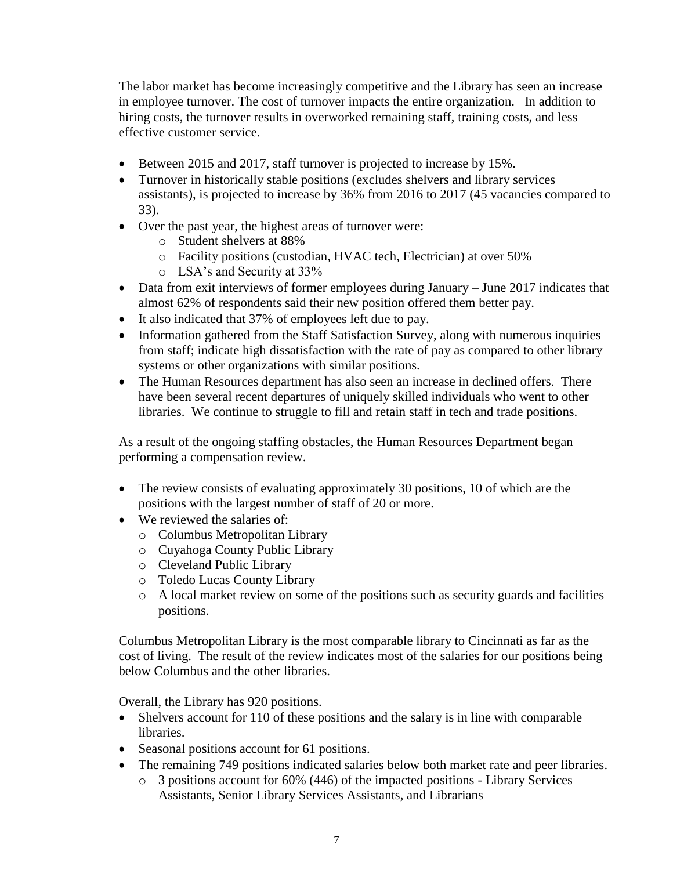The labor market has become increasingly competitive and the Library has seen an increase in employee turnover. The cost of turnover impacts the entire organization. In addition to hiring costs, the turnover results in overworked remaining staff, training costs, and less effective customer service.

- Between 2015 and 2017, staff turnover is projected to increase by 15%.
- Turnover in historically stable positions (excludes shelvers and library services assistants), is projected to increase by 36% from 2016 to 2017 (45 vacancies compared to 33).
- Over the past year, the highest areas of turnover were:
	- o Student shelvers at 88%
	- o Facility positions (custodian, HVAC tech, Electrician) at over 50%
	- o LSA's and Security at 33%
- Data from exit interviews of former employees during January June 2017 indicates that almost 62% of respondents said their new position offered them better pay.
- It also indicated that 37% of employees left due to pay.
- Information gathered from the Staff Satisfaction Survey, along with numerous inquiries from staff; indicate high dissatisfaction with the rate of pay as compared to other library systems or other organizations with similar positions.
- The Human Resources department has also seen an increase in declined offers. There have been several recent departures of uniquely skilled individuals who went to other libraries. We continue to struggle to fill and retain staff in tech and trade positions.

As a result of the ongoing staffing obstacles, the Human Resources Department began performing a compensation review.

- The review consists of evaluating approximately 30 positions, 10 of which are the positions with the largest number of staff of 20 or more.
- We reviewed the salaries of:
	- o Columbus Metropolitan Library
	- o Cuyahoga County Public Library
	- o Cleveland Public Library
	- o Toledo Lucas County Library
	- o A local market review on some of the positions such as security guards and facilities positions.

Columbus Metropolitan Library is the most comparable library to Cincinnati as far as the cost of living. The result of the review indicates most of the salaries for our positions being below Columbus and the other libraries.

Overall, the Library has 920 positions.

- Shelvers account for 110 of these positions and the salary is in line with comparable libraries.
- Seasonal positions account for 61 positions.
- The remaining 749 positions indicated salaries below both market rate and peer libraries.
	- o 3 positions account for 60% (446) of the impacted positions Library Services Assistants, Senior Library Services Assistants, and Librarians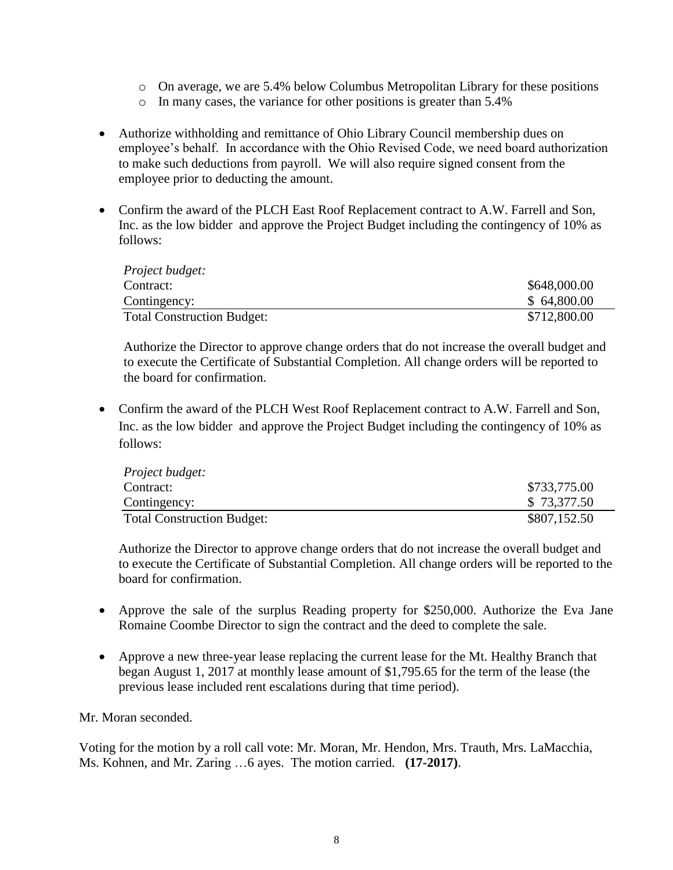- o On average, we are 5.4% below Columbus Metropolitan Library for these positions
- o In many cases, the variance for other positions is greater than 5.4%
- Authorize withholding and remittance of Ohio Library Council membership dues on employee's behalf. In accordance with the Ohio Revised Code, we need board authorization to make such deductions from payroll. We will also require signed consent from the employee prior to deducting the amount.
- Confirm the award of the PLCH East Roof Replacement contract to A.W. Farrell and Son, Inc. as the low bidder and approve the Project Budget including the contingency of 10% as follows:

| Project budget:                   |              |
|-----------------------------------|--------------|
| Contract:                         | \$648,000.00 |
| Contingency:                      | \$64,800.00  |
| <b>Total Construction Budget:</b> | \$712,800.00 |

Authorize the Director to approve change orders that do not increase the overall budget and to execute the Certificate of Substantial Completion. All change orders will be reported to the board for confirmation.

 Confirm the award of the PLCH West Roof Replacement contract to A.W. Farrell and Son, Inc. as the low bidder and approve the Project Budget including the contingency of 10% as follows:

| <i>Project budget:</i>            |              |
|-----------------------------------|--------------|
| Contract:                         | \$733,775.00 |
| Contingency:                      | \$73,377.50  |
| <b>Total Construction Budget:</b> | \$807,152.50 |

Authorize the Director to approve change orders that do not increase the overall budget and to execute the Certificate of Substantial Completion. All change orders will be reported to the board for confirmation.

- Approve the sale of the surplus Reading property for \$250,000. Authorize the Eva Jane Romaine Coombe Director to sign the contract and the deed to complete the sale.
- Approve a new three-year lease replacing the current lease for the Mt. Healthy Branch that began August 1, 2017 at monthly lease amount of \$1,795.65 for the term of the lease (the previous lease included rent escalations during that time period).

Mr. Moran seconded.

Voting for the motion by a roll call vote: Mr. Moran, Mr. Hendon, Mrs. Trauth, Mrs. LaMacchia, Ms. Kohnen, and Mr. Zaring …6 ayes. The motion carried. **(17-2017)**.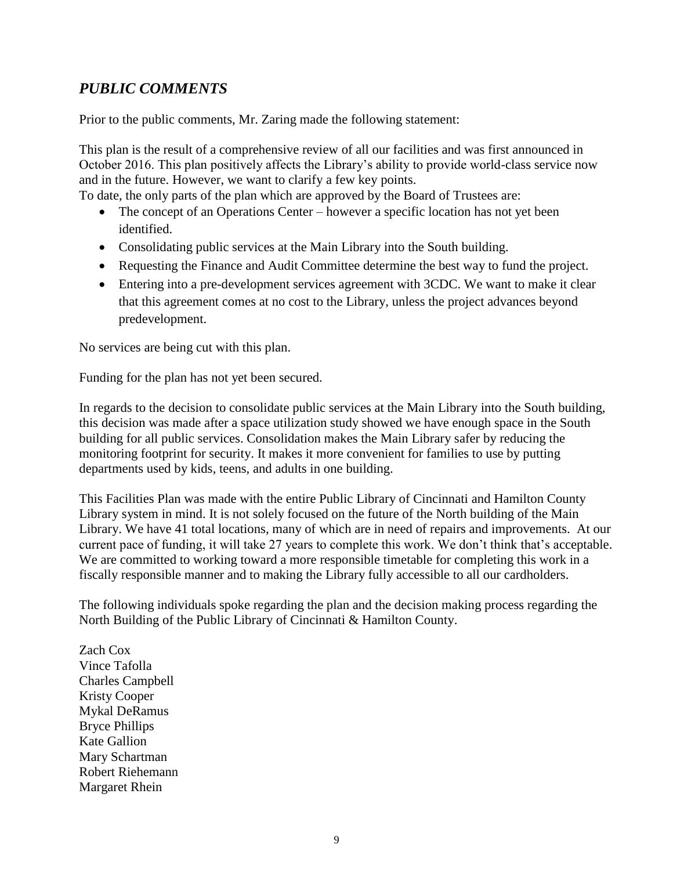# *PUBLIC COMMENTS*

Prior to the public comments, Mr. Zaring made the following statement:

This plan is the result of a comprehensive review of all our facilities and was first announced in October 2016. This plan positively affects the Library's ability to provide world-class service now and in the future. However, we want to clarify a few key points.

To date, the only parts of the plan which are approved by the Board of Trustees are:

- The concept of an Operations Center however a specific location has not yet been identified.
- Consolidating public services at the Main Library into the South building.
- Requesting the Finance and Audit Committee determine the best way to fund the project.
- Entering into a pre-development services agreement with 3CDC. We want to make it clear that this agreement comes at no cost to the Library, unless the project advances beyond predevelopment.

No services are being cut with this plan.

Funding for the plan has not yet been secured.

In regards to the decision to consolidate public services at the Main Library into the South building, this decision was made after a space utilization study showed we have enough space in the South building for all public services. Consolidation makes the Main Library safer by reducing the monitoring footprint for security. It makes it more convenient for families to use by putting departments used by kids, teens, and adults in one building.

This Facilities Plan was made with the entire Public Library of Cincinnati and Hamilton County Library system in mind. It is not solely focused on the future of the North building of the Main Library. We have 41 total locations, many of which are in need of repairs and improvements. At our current pace of funding, it will take 27 years to complete this work. We don't think that's acceptable. We are committed to working toward a more responsible timetable for completing this work in a fiscally responsible manner and to making the Library fully accessible to all our cardholders.

The following individuals spoke regarding the plan and the decision making process regarding the North Building of the Public Library of Cincinnati & Hamilton County.

Zach Cox Vince Tafolla Charles Campbell Kristy Cooper Mykal DeRamus Bryce Phillips Kate Gallion Mary Schartman Robert Riehemann Margaret Rhein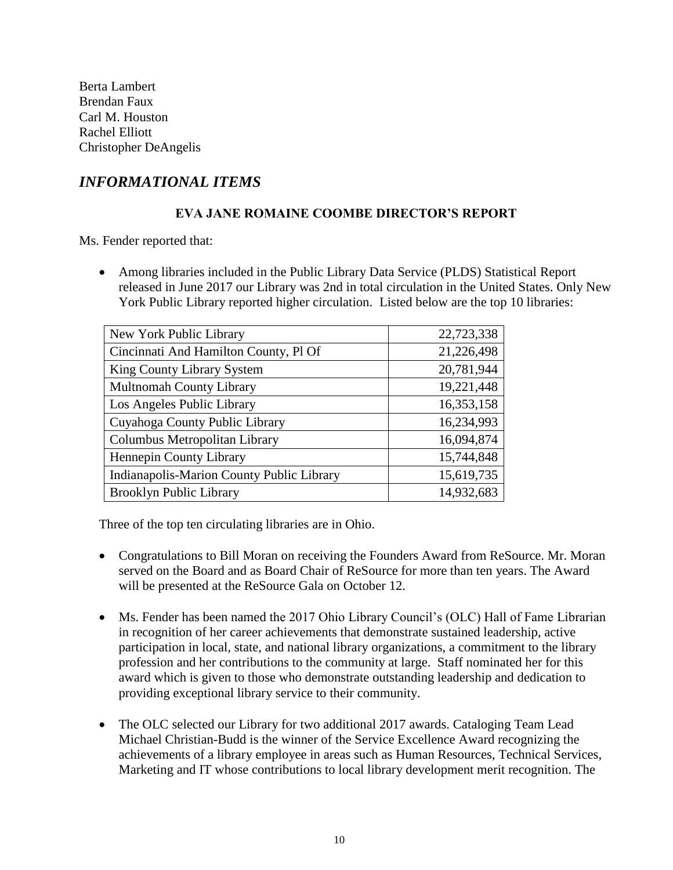Berta Lambert Brendan Faux Carl M. Houston Rachel Elliott Christopher DeAngelis

## *INFORMATIONAL ITEMS*

### **EVA JANE ROMAINE COOMBE DIRECTOR'S REPORT**

Ms. Fender reported that:

 Among libraries included in the Public Library Data Service (PLDS) Statistical Report released in June 2017 our Library was 2nd in total circulation in the United States. Only New York Public Library reported higher circulation. Listed below are the top 10 libraries:

| New York Public Library                          | 22,723,338 |
|--------------------------------------------------|------------|
| Cincinnati And Hamilton County, Pl Of            | 21,226,498 |
| King County Library System                       | 20,781,944 |
| <b>Multnomah County Library</b>                  | 19,221,448 |
| Los Angeles Public Library                       | 16,353,158 |
| Cuyahoga County Public Library                   | 16,234,993 |
| Columbus Metropolitan Library                    | 16,094,874 |
| Hennepin County Library                          | 15,744,848 |
| <b>Indianapolis-Marion County Public Library</b> | 15,619,735 |
| <b>Brooklyn Public Library</b>                   | 14,932,683 |

Three of the top ten circulating libraries are in Ohio.

- Congratulations to Bill Moran on receiving the Founders Award from ReSource. Mr. Moran served on the Board and as Board Chair of ReSource for more than ten years. The Award will be presented at the ReSource Gala on October 12.
- Ms. Fender has been named the 2017 Ohio Library Council's (OLC) Hall of Fame Librarian in recognition of her career achievements that demonstrate sustained leadership, active participation in local, state, and national library organizations, a commitment to the library profession and her contributions to the community at large. Staff nominated her for this award which is given to those who demonstrate outstanding leadership and dedication to providing exceptional library service to their community.
- The OLC selected our Library for two additional 2017 awards. Cataloging Team Lead Michael Christian-Budd is the winner of the Service Excellence Award recognizing the achievements of a library employee in areas such as Human Resources, Technical Services, Marketing and IT whose contributions to local library development merit recognition. The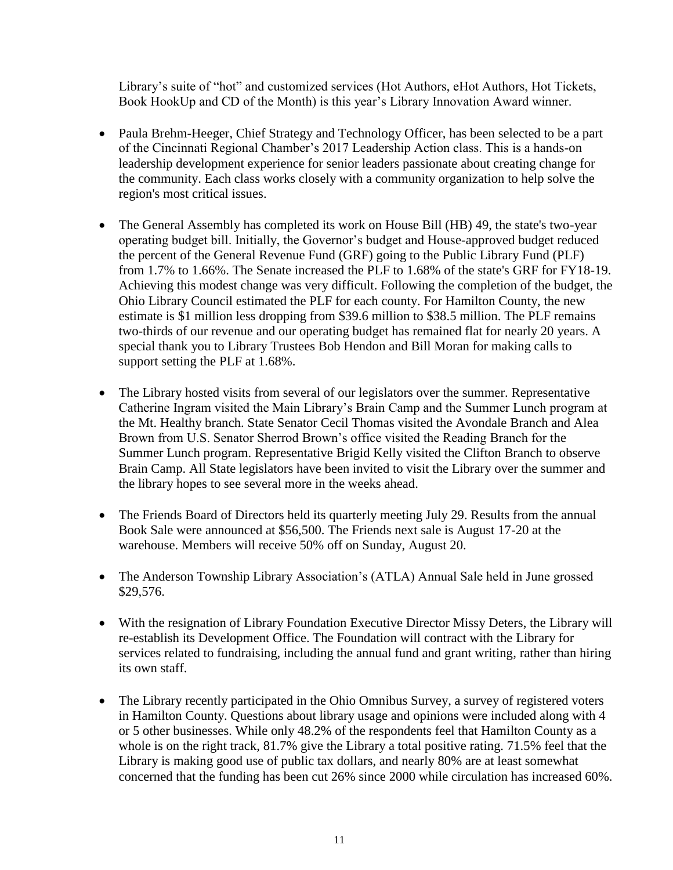Library's suite of "hot" and customized services (Hot Authors, eHot Authors, Hot Tickets, Book HookUp and CD of the Month) is this year's Library Innovation Award winner.

- Paula Brehm-Heeger, Chief Strategy and Technology Officer, has been selected to be a part of the Cincinnati Regional Chamber's 2017 Leadership Action class. This is a hands-on leadership development experience for senior leaders passionate about creating change for the community. Each class works closely with a community organization to help solve the region's most critical issues.
- The General Assembly has completed its work on House Bill (HB) 49, the state's two-year operating budget bill. Initially, the Governor's budget and House-approved budget reduced the percent of the General Revenue Fund (GRF) going to the Public Library Fund (PLF) from 1.7% to 1.66%. The Senate increased the PLF to 1.68% of the state's GRF for FY18-19. Achieving this modest change was very difficult. Following the completion of the budget, the Ohio Library Council estimated the PLF for each county. For Hamilton County, the new estimate is \$1 million less dropping from \$39.6 million to \$38.5 million. The PLF remains two-thirds of our revenue and our operating budget has remained flat for nearly 20 years. A special thank you to Library Trustees Bob Hendon and Bill Moran for making calls to support setting the PLF at 1.68%.
- The Library hosted visits from several of our legislators over the summer. Representative Catherine Ingram visited the Main Library's Brain Camp and the Summer Lunch program at the Mt. Healthy branch. State Senator Cecil Thomas visited the Avondale Branch and Alea Brown from U.S. Senator Sherrod Brown's office visited the Reading Branch for the Summer Lunch program. Representative Brigid Kelly visited the Clifton Branch to observe Brain Camp. All State legislators have been invited to visit the Library over the summer and the library hopes to see several more in the weeks ahead.
- The Friends Board of Directors held its quarterly meeting July 29. Results from the annual Book Sale were announced at \$56,500. The Friends next sale is August 17-20 at the warehouse. Members will receive 50% off on Sunday, August 20.
- The Anderson Township Library Association's (ATLA) Annual Sale held in June grossed \$29,576.
- With the resignation of Library Foundation Executive Director Missy Deters, the Library will re-establish its Development Office. The Foundation will contract with the Library for services related to fundraising, including the annual fund and grant writing, rather than hiring its own staff.
- The Library recently participated in the Ohio Omnibus Survey, a survey of registered voters in Hamilton County. Questions about library usage and opinions were included along with 4 or 5 other businesses. While only 48.2% of the respondents feel that Hamilton County as a whole is on the right track, 81.7% give the Library a total positive rating. 71.5% feel that the Library is making good use of public tax dollars, and nearly 80% are at least somewhat concerned that the funding has been cut 26% since 2000 while circulation has increased 60%.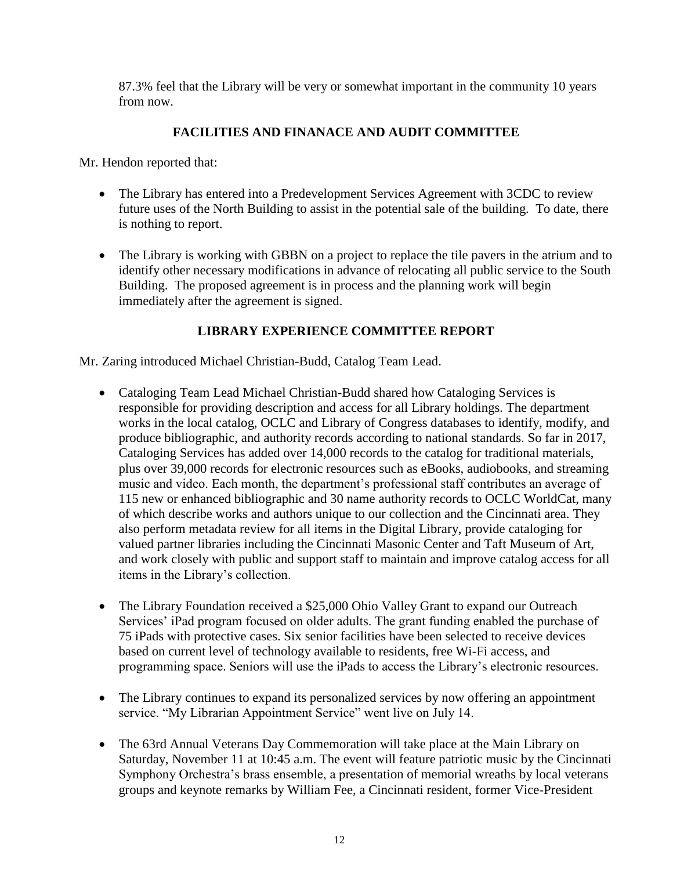87.3% feel that the Library will be very or somewhat important in the community 10 years from now.

### **FACILITIES AND FINANACE AND AUDIT COMMITTEE**

Mr. Hendon reported that:

- The Library has entered into a Predevelopment Services Agreement with 3CDC to review future uses of the North Building to assist in the potential sale of the building. To date, there is nothing to report.
- The Library is working with GBBN on a project to replace the tile pavers in the atrium and to identify other necessary modifications in advance of relocating all public service to the South Building. The proposed agreement is in process and the planning work will begin immediately after the agreement is signed.

### **LIBRARY EXPERIENCE COMMITTEE REPORT**

Mr. Zaring introduced Michael Christian-Budd, Catalog Team Lead.

- Cataloging Team Lead Michael Christian-Budd shared how Cataloging Services is responsible for providing description and access for all Library holdings. The department works in the local catalog, OCLC and Library of Congress databases to identify, modify, and produce bibliographic, and authority records according to national standards. So far in 2017, Cataloging Services has added over 14,000 records to the catalog for traditional materials, plus over 39,000 records for electronic resources such as eBooks, audiobooks, and streaming music and video. Each month, the department's professional staff contributes an average of 115 new or enhanced bibliographic and 30 name authority records to OCLC WorldCat, many of which describe works and authors unique to our collection and the Cincinnati area. They also perform metadata review for all items in the Digital Library, provide cataloging for valued partner libraries including the Cincinnati Masonic Center and Taft Museum of Art, and work closely with public and support staff to maintain and improve catalog access for all items in the Library's collection.
- The Library Foundation received a \$25,000 Ohio Valley Grant to expand our Outreach Services' iPad program focused on older adults. The grant funding enabled the purchase of 75 iPads with protective cases. Six senior facilities have been selected to receive devices based on current level of technology available to residents, free Wi-Fi access, and programming space. Seniors will use the iPads to access the Library's electronic resources.
- The Library continues to expand its personalized services by now offering an appointment service. "My Librarian Appointment Service" went live on July 14.
- The 63rd Annual Veterans Day Commemoration will take place at the Main Library on Saturday, November 11 at 10:45 a.m. The event will feature patriotic music by the Cincinnati Symphony Orchestra's brass ensemble, a presentation of memorial wreaths by local veterans groups and keynote remarks by William Fee, a Cincinnati resident, former Vice-President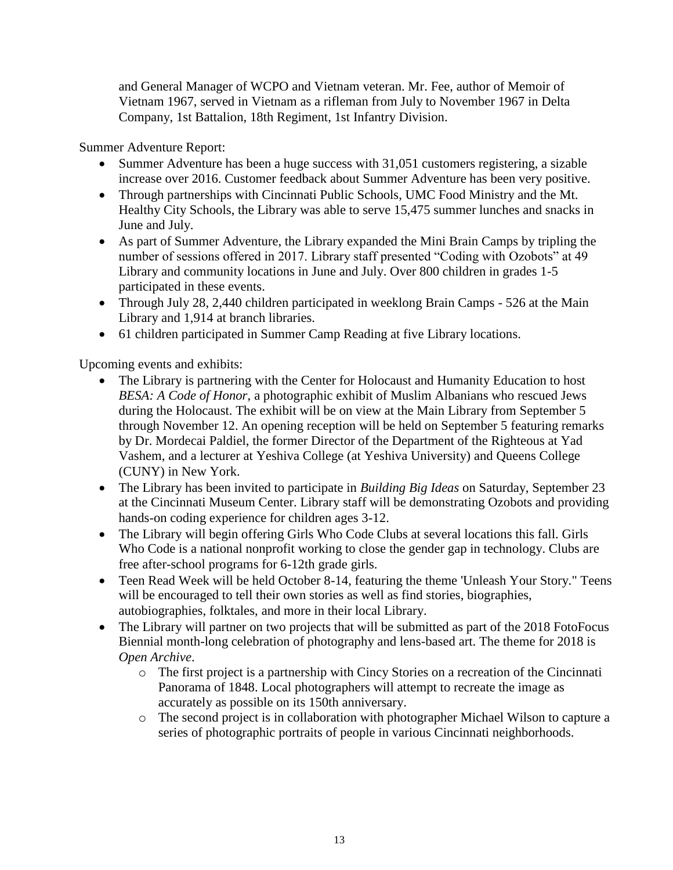and General Manager of WCPO and Vietnam veteran. Mr. Fee, author of Memoir of Vietnam 1967, served in Vietnam as a rifleman from July to November 1967 in Delta Company, 1st Battalion, 18th Regiment, 1st Infantry Division.

Summer Adventure Report:

- Summer Adventure has been a huge success with 31,051 customers registering, a sizable increase over 2016. Customer feedback about Summer Adventure has been very positive.
- Through partnerships with Cincinnati Public Schools, UMC Food Ministry and the Mt. Healthy City Schools, the Library was able to serve 15,475 summer lunches and snacks in June and July.
- As part of Summer Adventure, the Library expanded the Mini Brain Camps by tripling the number of sessions offered in 2017. Library staff presented "Coding with Ozobots" at 49 Library and community locations in June and July. Over 800 children in grades 1-5 participated in these events.
- Through July 28, 2,440 children participated in weeklong Brain Camps 526 at the Main Library and 1,914 at branch libraries.
- 61 children participated in Summer Camp Reading at five Library locations.

Upcoming events and exhibits:

- The Library is partnering with the Center for Holocaust and Humanity Education to host *BESA: A Code of Honor*, a photographic exhibit of Muslim Albanians who rescued Jews during the Holocaust. The exhibit will be on view at the Main Library from September 5 through November 12. An opening reception will be held on September 5 featuring remarks by Dr. Mordecai Paldiel, the former Director of the Department of the Righteous at Yad Vashem, and a lecturer at Yeshiva College (at Yeshiva University) and Queens College (CUNY) in New York.
- The Library has been invited to participate in *Building Big Ideas* on Saturday, September 23 at the Cincinnati Museum Center. Library staff will be demonstrating Ozobots and providing hands-on coding experience for children ages 3-12.
- The Library will begin offering Girls Who Code Clubs at several locations this fall. Girls Who Code is a national nonprofit working to close the gender gap in technology. Clubs are free after-school programs for 6-12th grade girls.
- Teen Read Week will be held October 8-14, featuring the theme 'Unleash Your Story." Teens will be encouraged to tell their own stories as well as find stories, biographies, autobiographies, folktales, and more in their local Library.
- The Library will partner on two projects that will be submitted as part of the 2018 FotoFocus Biennial month-long celebration of photography and lens-based art. The theme for 2018 is *Open Archive*.
	- o The first project is a partnership with Cincy Stories on a recreation of the Cincinnati Panorama of 1848. Local photographers will attempt to recreate the image as accurately as possible on its 150th anniversary.
	- o The second project is in collaboration with photographer Michael Wilson to capture a series of photographic portraits of people in various Cincinnati neighborhoods.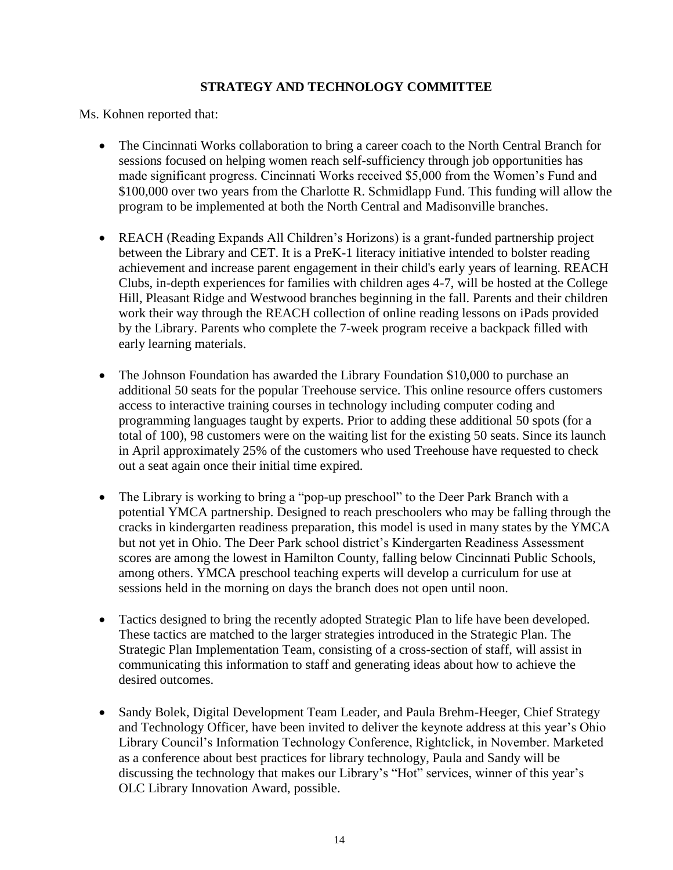### **STRATEGY AND TECHNOLOGY COMMITTEE**

Ms. Kohnen reported that:

- The Cincinnati Works collaboration to bring a career coach to the North Central Branch for sessions focused on helping women reach self-sufficiency through job opportunities has made significant progress. Cincinnati Works received \$5,000 from the Women's Fund and \$100,000 over two years from the Charlotte R. Schmidlapp Fund. This funding will allow the program to be implemented at both the North Central and Madisonville branches.
- REACH (Reading Expands All Children's Horizons) is a grant-funded partnership project between the Library and CET. It is a PreK-1 literacy initiative intended to bolster reading achievement and increase parent engagement in their child's early years of learning. REACH Clubs, in-depth experiences for families with children ages 4-7, will be hosted at the College Hill, Pleasant Ridge and Westwood branches beginning in the fall. Parents and their children work their way through the REACH collection of online reading lessons on iPads provided by the Library. Parents who complete the 7-week program receive a backpack filled with early learning materials.
- The Johnson Foundation has awarded the Library Foundation \$10,000 to purchase an additional 50 seats for the popular Treehouse service. This online resource offers customers access to interactive training courses in technology including computer coding and programming languages taught by experts. Prior to adding these additional 50 spots (for a total of 100), 98 customers were on the waiting list for the existing 50 seats. Since its launch in April approximately 25% of the customers who used Treehouse have requested to check out a seat again once their initial time expired.
- The Library is working to bring a "pop-up preschool" to the Deer Park Branch with a potential YMCA partnership. Designed to reach preschoolers who may be falling through the cracks in kindergarten readiness preparation, this model is used in many states by the YMCA but not yet in Ohio. The Deer Park school district's Kindergarten Readiness Assessment scores are among the lowest in Hamilton County, falling below Cincinnati Public Schools, among others. YMCA preschool teaching experts will develop a curriculum for use at sessions held in the morning on days the branch does not open until noon.
- Tactics designed to bring the recently adopted Strategic Plan to life have been developed. These tactics are matched to the larger strategies introduced in the Strategic Plan. The Strategic Plan Implementation Team, consisting of a cross-section of staff, will assist in communicating this information to staff and generating ideas about how to achieve the desired outcomes.
- Sandy Bolek, Digital Development Team Leader, and Paula Brehm-Heeger, Chief Strategy and Technology Officer, have been invited to deliver the keynote address at this year's Ohio Library Council's Information Technology Conference, Rightclick, in November. Marketed as a conference about best practices for library technology, Paula and Sandy will be discussing the technology that makes our Library's "Hot" services, winner of this year's OLC Library Innovation Award, possible.